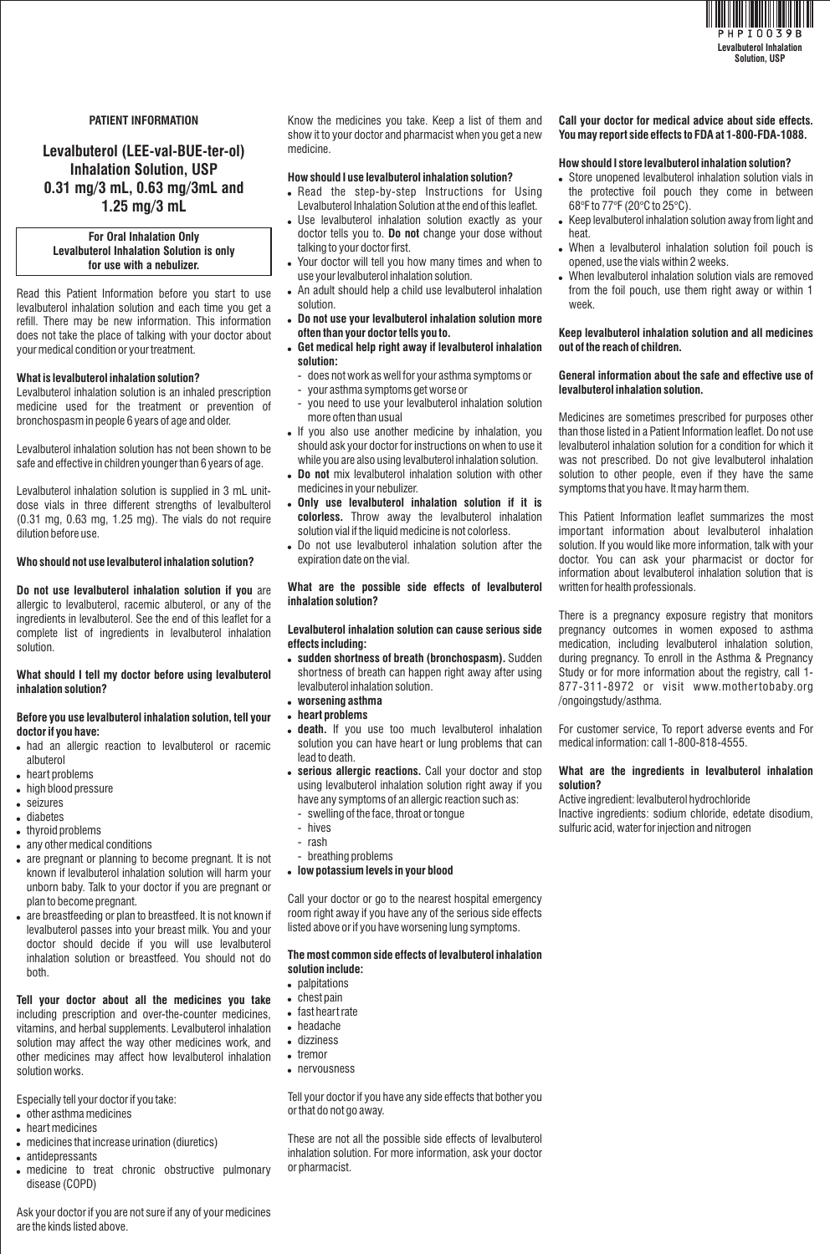

#### **PATIENT INFORMATION**

## **Levalbuterol (LEE-val-BUE-ter-ol) Inhalation Solution, USP 0.31 mg/3 mL, 0.63 mg/3mL and 1.25 mg/3 mL**

#### **For Oral Inhalation Only Levalbuterol Inhalation Solution is only for use with a nebulizer.**

Read this Patient Information before you start to use levalbuterol inhalation solution and each time you get a refill. There may be new information. This information does not take the place of talking with your doctor about your medical condition or your treatment.

#### **What is levalbuterol inhalation solution?**

Levalbuterol inhalation solution is an inhaled prescription medicine used for the treatment or prevention of bronchospasm in people 6 years of age and older.

Levalbuterol inhalation solution has not been shown to be safe and effective in children younger than 6 years of age.

Levalbuterol inhalation solution is supplied in 3 mL unitdose vials in three different strengths of levalbulterol  $(0.31 \text{ ma}, 0.63 \text{ ma}, 1.25 \text{ ma})$ . The vials do not require dilution before use.

#### **Who should not use levalbuterol inhalation solution?**

**Do not use levalbuterol inhalation solution if you** are allergic to levalbuterol, racemic albuterol, or any of the ingredients in levalbuterol. See the end of this leaflet for a complete list of ingredients in levalbuterol inhalation solution.

#### **What should I tell my doctor before using levalbuterol inhalation solution?**

#### **Before you use levalbuterol inhalation solution, tell your doctor if you have:**

- had an allergic reaction to levalbuterol or racemic albuterol
- heart problems
- high blood pressure
- seizures
- diabetes
- thyroid problems
- any other medical conditions
- are pregnant or planning to become pregnant. It is not known if levalbuterol inhalation solution will harm your unborn baby. Talk to your doctor if you are pregnant or plan to become pregnant.
- are breastfeeding or plan to breastfeed. It is not known if levalbuterol passes into your breast milk. You and your doctor should decide if you will use levalbuterol inhalation solution or breastfeed. You should not do both.

**Tell your doctor about all the medicines you take**  including prescription and over-the-counter medicines, vitamins, and herbal supplements. Levalbuterol inhalation solution may affect the way other medicines work, and other medicines may affect how levalbuterol inhalation solution works.

Especially tell your doctor if you take:

- other asthma medicines
- heart medicines
- medicines that increase urination (diuretics)
- antidepressants
- medicine to treat chronic obstructive pulmonary disease (COPD)

Know the medicines you take. Keep a list of them and show it to your doctor and pharmacist when you get a new medicine.

#### **How should I use levalbuterol inhalation solution?**

- Read the step-by-step Instructions for Using Levalbuterol Inhalation Solution at the end of this leaflet.
- Use levalbuterol inhalation solution exactly as your doctor tells you to. **Do not** change your dose without talking to your doctor first.
- Your doctor will tell you how many times and when to use your levalbuterol inhalation solution.
- An adult should help a child use levalbuterol inhalation solution.
- **Do not use your levalbuterol inhalation solution more often than your doctor tells you to.**
- **Get medical help right away if levalbuterol inhalation solution:**
- does not work as well for your asthma symptoms or
- your asthma symptoms get worse or
- you need to use your levalbuterol inhalation solution more often than usual
- If you also use another medicine by inhalation, you should ask your doctor for instructions on when to use it while you are also using levalbuterol inhalation solution.
- **Do not** mix levalbuterol inhalation solution with other medicines in your nebulizer.
- **Only use levalbuterol inhalation solution if it is colorless.** Throw away the levalbuterol inhalation solution vial if the liquid medicine is not colorless.
- Do not use levalbuterol inhalation solution after the expiration date on the vial.

#### **What are the possible side effects of levalbuterol inhalation solution?**

#### **Levalbuterol inhalation solution can cause serious side effects including:**

- **sudden shortness of breath (bronchospasm).** Sudden shortness of breath can happen right away after using levalbuterol inhalation solution.
- **worsening asthma**
- **heart problems**
- **death.** If you use too much levalbuterol inhalation solution you can have heart or lung problems that can lead to death.
- **serious allergic reactions.** Call your doctor and stop using levalbuterol inhalation solution right away if you have any symptoms of an allergic reaction such as:
- swelling of the face, throat or tongue
- hives
- rash
- breathing problems
- **low potassium levels in your blood**

Call your doctor or go to the nearest hospital emergency room right away if you have any of the serious side effects listed above or if you have worsening lung symptoms.

#### **The most common side effects of levalbuterol inhalation solution include:**

- palpitations
- 
- fast heart rate
- headache
- dizziness
- tremor
- nervousness

Tell your doctor if you have any side effects that bother you or that do not go away.

These are not all the possible side effects of levalbuterol inhalation solution. For more information, ask your doctor or pharmacist.

# **You may report side effects to FDA at 1-800-FDA-1088.**

**Call your doctor for medical advice about side effects.** 

#### **How should I store levalbuterol inhalation solution?**

- Store unopened levalbuterol inhalation solution vials in the protective foil pouch they come in between 68°F to 77°F (20°C to 25°C).
- Keep levalbuterol inhalation solution away from light and heat.
- When a levalbuterol inhalation solution foil pouch is opened, use the vials within 2 weeks.
- When levalbuterol inhalation solution vials are removed from the foil pouch, use them right away or within 1 week.

#### **Keep levalbuterol inhalation solution and all medicines out of the reach of children.**

#### **General information about the safe and effective use of levalbuterol inhalation solution.**

Medicines are sometimes prescribed for purposes other than those listed in a Patient Information leaflet. Do not use levalbuterol inhalation solution for a condition for which it was not prescribed. Do not give levalbuterol inhalation solution to other people, even if they have the same symptoms that you have. It may harm them.

This Patient Information leaflet summarizes the most important information about levalbuterol inhalation solution. If you would like more information, talk with your doctor. You can ask your pharmacist or doctor for information about levalbuterol inhalation solution that is written for health professionals.

There is a pregnancy exposure registry that monitors pregnancy outcomes in women exposed to asthma medication, including levalbuterol inhalation solution, during pregnancy. To enroll in the Asthma & Pregnancy Study or for more information about the registry, call 1- 877-311-8972 or visit www.mothertobaby.org /ongoingstudy/asthma.

For customer service, To report adverse events and For medical information: call 1-800-818-4555.

#### **What are the ingredients in levalbuterol inhalation solution?**

Active ingredient: levalbuterol hydrochloride Inactive ingredients: sodium chloride, edetate disodium, sulfuric acid, water for injection and nitrogen

Ask your doctor if you are not sure if any of your medicines are the kinds listed above.

- 
- chest pain